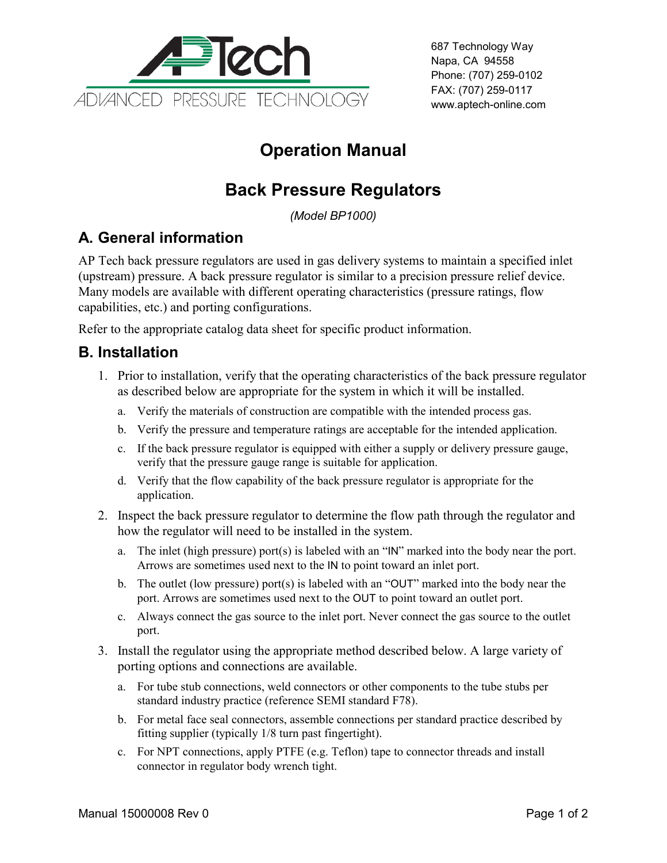

687 Technology Way Napa, CA 94558 Phone: (707) 259-0102 FAX: (707) 259-0117 www.aptech-online.com

# **Operation Manual**

## **Back Pressure Regulators**

*(Model BP1000)*

## **A. General information**

AP Tech back pressure regulators are used in gas delivery systems to maintain a specified inlet (upstream) pressure. A back pressure regulator is similar to a precision pressure relief device. Many models are available with different operating characteristics (pressure ratings, flow capabilities, etc.) and porting configurations.

Refer to the appropriate catalog data sheet for specific product information.

#### **B. Installation**

- 1. Prior to installation, verify that the operating characteristics of the back pressure regulator as described below are appropriate for the system in which it will be installed.
	- a. Verify the materials of construction are compatible with the intended process gas.
	- b. Verify the pressure and temperature ratings are acceptable for the intended application.
	- c. If the back pressure regulator is equipped with either a supply or delivery pressure gauge, verify that the pressure gauge range is suitable for application.
	- d. Verify that the flow capability of the back pressure regulator is appropriate for the application.
- 2. Inspect the back pressure regulator to determine the flow path through the regulator and how the regulator will need to be installed in the system.
	- a. The inlet (high pressure) port(s) is labeled with an "IN" marked into the body near the port. Arrows are sometimes used next to the IN to point toward an inlet port.
	- b. The outlet (low pressure) port(s) is labeled with an "OUT" marked into the body near the port. Arrows are sometimes used next to the OUT to point toward an outlet port.
	- c. Always connect the gas source to the inlet port. Never connect the gas source to the outlet port.
- 3. Install the regulator using the appropriate method described below. A large variety of porting options and connections are available.
	- a. For tube stub connections, weld connectors or other components to the tube stubs per standard industry practice (reference SEMI standard F78).
	- b. For metal face seal connectors, assemble connections per standard practice described by fitting supplier (typically 1/8 turn past fingertight).
	- c. For NPT connections, apply PTFE (e.g. Teflon) tape to connector threads and install connector in regulator body wrench tight.